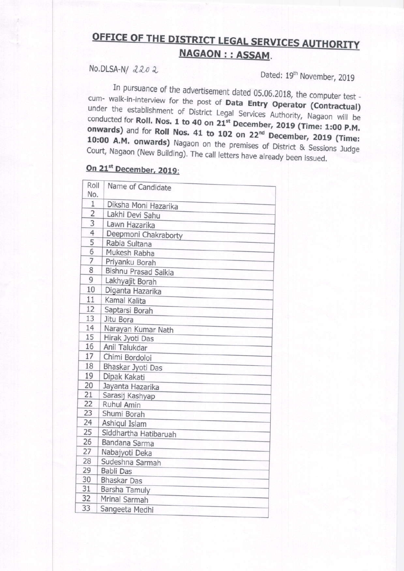## OFFICE OF THE DISTRICT LEGAL SERVICES AUTHORITY **NAGAON : : ASSAM.**

## No.DLSA-N/2202

Dated: 19th November, 2019

In pursuance of the advertisement dated 05.06.2018, the computer test cum- walk-in-interview for the post of Data Entry Operator (Contractual) under the establishment of District Legal Services Authority, Nagaon will be conducted for Roll. Nos. 1 to 40 on 21st December, 2019 (Time: 1:00 P.M. onwards) and for Roll Nos. 41 to 102 on 22<sup>nd</sup> December, 2019 (Time: 10:00 A.M. onwards) Nagaon on the premises of District & Sessions Judge Court, Nagaon (New Building). The call letters have already been issued.

## On 21<sup>st</sup> December, 2019:

| Roll<br>No.    | Name of Candidate                       |
|----------------|-----------------------------------------|
| $\overline{1}$ |                                         |
| $\overline{2}$ | Diksha Moni Hazarika<br>Lakhi Devi Sahu |
| 3              |                                         |
| 4              | Lawn Hazarika                           |
| 5              | Deepmoni Chakraborty                    |
| 6              | Rabia Sultana                           |
| $\overline{7}$ | Mukesh Rabha                            |
| 8              | Priyanku Borah                          |
| 9              | Bishnu Prasad Saikia                    |
| 10             | Lakhyajit Borah                         |
| 11             | Diganta Hazarika                        |
|                | Kamal Kalita                            |
| 12             | Saptarsi Borah                          |
| 13             | Jitu Bora                               |
| 14<br>15       | Narayan Kumar Nath                      |
| 16             | Hirak Jyoti Das                         |
| 17             | Anil Talukdar                           |
|                | Chimi Bordoloi                          |
| 18             | Bhaskar Jyoti Das                       |
| 19             | Dipak Kakati                            |
| 20             | Jayanta Hazarika                        |
| 21             | Sarasij Kashyap                         |
| 22             | Ruhul Amin                              |
| 23             | Shumi Borah                             |
| 24             | Ashiqul Islam                           |
| 25             | Siddhartha Hatibaruah                   |
| 26             | Bandana Sarma                           |
| 27             | Nabajyoti Deka                          |
| 28             | Sudeshna Sarmah                         |
| 29             | Babli Das                               |
| 30             | Bhaskar Das                             |
| 31             | Barsha Tamuly                           |
| 32             | Mrinal Sarmah                           |
| 33             | Sangeeta Medhi                          |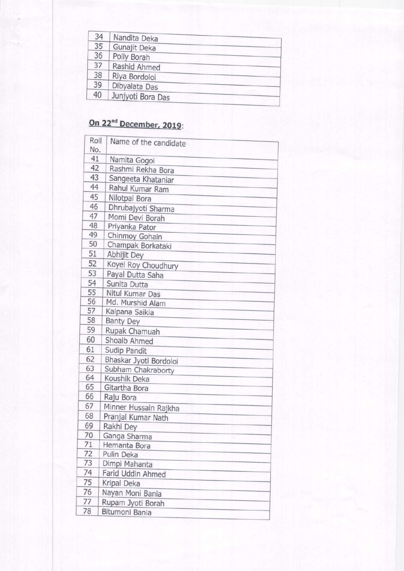| Nandita Deka<br>Gunajit Deka<br>Polly Borah<br>Rashid Ahmed<br>Riya Bordoloi<br>Dibyalata Das<br>Junjyoti Bora Das |
|--------------------------------------------------------------------------------------------------------------------|

## On 22<sup>nd</sup> December, 2019:

|    | Roll | Name of the candidate  |
|----|------|------------------------|
|    | No.  |                        |
|    | 41   | Namita Gogoi           |
|    | 42   | Rashmi Rekha Bora      |
|    | 43   | Sangeeta Khataniar     |
|    | 44   | Rahul Kumar Ram        |
|    | 45   | Nilotpal Bora          |
|    | 46   | Dhrubajyoti Sharma     |
|    | 47   | Momi Devi Borah        |
|    | 48   | Priyanka Pator         |
|    | 49   | Chinmoy Gohain         |
|    | 50   | Champak Borkataki      |
| 51 |      | Abhijit Dey            |
| 52 |      | Koyel Roy Choudhury    |
| 53 |      | Payal Dutta Saha       |
| 54 |      | Sunita Dutta           |
| 55 |      | Nitul Kumar Das        |
| 56 |      | Md. Murshid Alam       |
| 57 |      | Kalpana Saikia         |
| 58 |      | <b>Banty Dey</b>       |
| 59 |      | Rupak Chamuah          |
| 60 |      | Shoaib Ahmed           |
| 61 |      | Sudip Pandit           |
| 62 |      | Bhaskar Jyoti Bordoloi |
| 63 |      | Subham Chakraborty     |
| 64 |      | Koushik Deka           |
| 65 |      | Gitartha Bora          |
| 66 |      | Raju Bora              |
| 67 |      | Minner Hussain Rajkha  |
| 68 |      | Pranjal Kumar Nath     |
| 69 |      | Rakhi Dey              |
| 70 |      | Ganga Sharma           |
| 71 |      | Hemanta Bora           |
| 72 |      | Pulin Deka             |
| 73 |      | Dimpi Mahanta          |
| 74 |      | Farid Uddin Ahmed      |
| 75 |      | Kripal Deka            |
| 76 |      | Nayan Moni Bania       |
| 77 |      | Rupam Jyoti Borah      |
| 78 |      | Bitumoni Bania         |